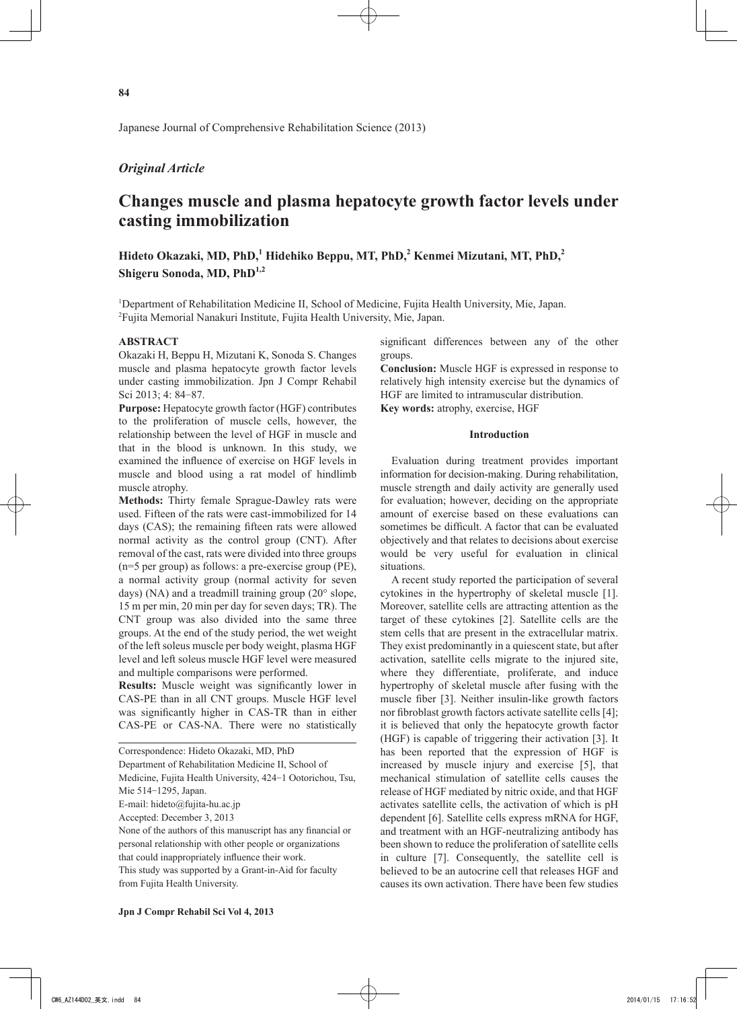## *Original Article*

# **Changes muscle and plasma hepatocyte growth factor levels under casting immobilization**

Hideto Okazaki, MD, PhD,<sup>1</sup> Hidehiko Beppu, MT, PhD,<sup>2</sup> Kenmei Mizutani, MT, PhD,<sup>2</sup> **Shigeru Sonoda, MD, PhD1,2**

<sup>1</sup>Department of Rehabilitation Medicine II, School of Medicine, Fujita Health University, Mie, Japan. 2 Fujita Memorial Nanakuri Institute, Fujita Health University, Mie, Japan.

## **ABSTRACT**

Okazaki H, Beppu H, Mizutani K, Sonoda S. Changes muscle and plasma hepatocyte growth factor levels under casting immobilization. Jpn J Compr Rehabil Sci 2013; 4: 84-87.

**Purpose:** Hepatocyte growth factor (HGF) contributes to the proliferation of muscle cells, however, the relationship between the level of HGF in muscle and that in the blood is unknown. In this study, we examined the influence of exercise on HGF levels in muscle and blood using a rat model of hindlimb muscle atrophy.

**Methods:** Thirty female Sprague-Dawley rats were used. Fifteen of the rats were cast-immobilized for 14 days (CAS); the remaining fifteen rats were allowed normal activity as the control group (CNT). After removal of the cast, rats were divided into three groups (n=5 per group) as follows: a pre-exercise group (PE), a normal activity group (normal activity for seven days) (NA) and a treadmill training group (20° slope, 15 m per min, 20 min per day for seven days; TR). The CNT group was also divided into the same three groups. At the end of the study period, the wet weight of the left soleus muscle per body weight, plasma HGF level and left soleus muscle HGF level were measured and multiple comparisons were performed.

**Results:** Muscle weight was significantly lower in CAS-PE than in all CNT groups. Muscle HGF level was significantly higher in CAS-TR than in either CAS-PE or CAS-NA. There were no statistically

Correspondence: Hideto Okazaki, MD, PhD Department of Rehabilitation Medicine II, School of Medicine, Fujita Health University, 424-1 Ootorichou, Tsu, Mie 514-1295, Japan. E-mail: hideto@fujita-hu.ac.jp Accepted: December 3, 2013 None of the authors of this manuscript has any financial or personal relationship with other people or organizations that could inappropriately influence their work. This study was supported by a Grant-in-Aid for faculty from Fujita Health University.

significant differences between any of the other groups.

**Conclusion:** Muscle HGF is expressed in response to relatively high intensity exercise but the dynamics of HGF are limited to intramuscular distribution.

**Key words:** atrophy, exercise, HGF

## **Introduction**

Evaluation during treatment provides important information for decision-making. During rehabilitation, muscle strength and daily activity are generally used for evaluation; however, deciding on the appropriate amount of exercise based on these evaluations can sometimes be difficult. A factor that can be evaluated objectively and that relates to decisions about exercise would be very useful for evaluation in clinical situations.

A recent study reported the participation of several cytokines in the hypertrophy of skeletal muscle [1]. Moreover, satellite cells are attracting attention as the target of these cytokines [2]. Satellite cells are the stem cells that are present in the extracellular matrix. They exist predominantly in a quiescent state, but after activation, satellite cells migrate to the injured site, where they differentiate, proliferate, and induce hypertrophy of skeletal muscle after fusing with the muscle fiber [3]. Neither insulin-like growth factors nor fibroblast growth factors activate satellite cells [4]; it is believed that only the hepatocyte growth factor (HGF) is capable of triggering their activation [3]. It has been reported that the expression of HGF is increased by muscle injury and exercise [5], that mechanical stimulation of satellite cells causes the release of HGF mediated by nitric oxide, and that HGF activates satellite cells, the activation of which is pH dependent [6]. Satellite cells express mRNA for HGF, and treatment with an HGF-neutralizing antibody has been shown to reduce the proliferation of satellite cells in culture [7]. Consequently, the satellite cell is believed to be an autocrine cell that releases HGF and causes its own activation. There have been few studies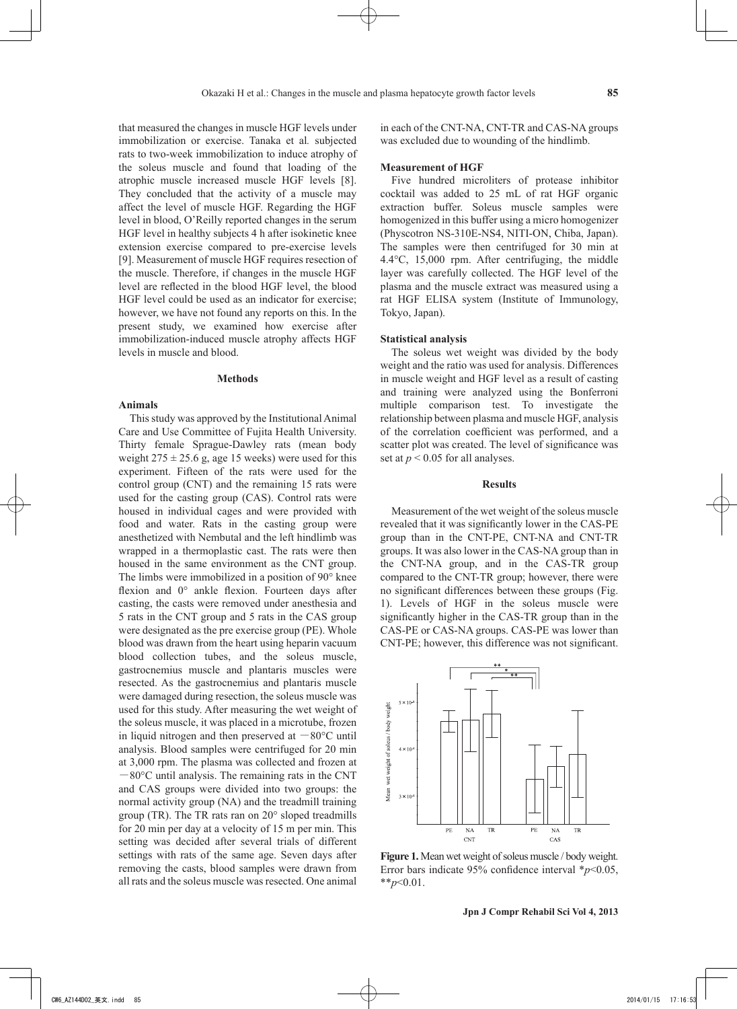that measured the changes in muscle HGF levels under immobilization or exercise. Tanaka et al*.* subjected rats to two-week immobilization to induce atrophy of the soleus muscle and found that loading of the atrophic muscle increased muscle HGF levels [8]. They concluded that the activity of a muscle may affect the level of muscle HGF. Regarding the HGF level in blood, O'Reilly reported changes in the serum HGF level in healthy subjects 4 h after isokinetic knee extension exercise compared to pre-exercise levels [9]. Measurement of muscle HGF requires resection of the muscle. Therefore, if changes in the muscle HGF level are reflected in the blood HGF level, the blood HGF level could be used as an indicator for exercise; however, we have not found any reports on this. In the present study, we examined how exercise after immobilization-induced muscle atrophy affects HGF levels in muscle and blood.

### **Methods**

## **Animals**

This study was approved by the Institutional Animal Care and Use Committee of Fujita Health University. Thirty female Sprague-Dawley rats (mean body weight  $275 \pm 25.6$  g, age 15 weeks) were used for this experiment. Fifteen of the rats were used for the control group (CNT) and the remaining 15 rats were used for the casting group (CAS). Control rats were housed in individual cages and were provided with food and water. Rats in the casting group were anesthetized with Nembutal and the left hindlimb was wrapped in a thermoplastic cast. The rats were then housed in the same environment as the CNT group. The limbs were immobilized in a position of 90° knee flexion and 0° ankle flexion. Fourteen days after casting, the casts were removed under anesthesia and 5 rats in the CNT group and 5 rats in the CAS group were designated as the pre exercise group (PE). Whole blood was drawn from the heart using heparin vacuum blood collection tubes, and the soleus muscle, gastrocnemius muscle and plantaris muscles were resected. As the gastrocnemius and plantaris muscle were damaged during resection, the soleus muscle was used for this study. After measuring the wet weight of the soleus muscle, it was placed in a microtube, frozen in liquid nitrogen and then preserved at  $-80^{\circ}$ C until analysis. Blood samples were centrifuged for 20 min at 3,000 rpm. The plasma was collected and frozen at  $-80^{\circ}$ C until analysis. The remaining rats in the CNT and CAS groups were divided into two groups: the normal activity group (NA) and the treadmill training group (TR). The TR rats ran on 20° sloped treadmills for 20 min per day at a velocity of 15 m per min. This setting was decided after several trials of different settings with rats of the same age. Seven days after removing the casts, blood samples were drawn from all rats and the soleus muscle was resected. One animal

in each of the CNT-NA, CNT-TR and CAS-NA groups was excluded due to wounding of the hindlimb.

## **Measurement of HGF**

Five hundred microliters of protease inhibitor cocktail was added to 25 mL of rat HGF organic extraction buffer. Soleus muscle samples were homogenized in this buffer using a micro homogenizer (Physcotron NS-310E-NS4, NITI-ON, Chiba, Japan). The samples were then centrifuged for 30 min at 4.4°C, 15,000 rpm. After centrifuging, the middle layer was carefully collected. The HGF level of the plasma and the muscle extract was measured using a rat HGF ELISA system (Institute of Immunology, Tokyo, Japan).

#### **Statistical analysis**

The soleus wet weight was divided by the body weight and the ratio was used for analysis. Differences in muscle weight and HGF level as a result of casting and training were analyzed using the Bonferroni multiple comparison test. To investigate the relationship between plasma and muscle HGF, analysis of the correlation coefficient was performed, and a scatter plot was created. The level of significance was set at  $p < 0.05$  for all analyses.

#### **Results**

Measurement of the wet weight of the soleus muscle revealed that it was significantly lower in the CAS-PE group than in the CNT-PE, CNT-NA and CNT-TR groups. It was also lower in the CAS-NA group than in the CNT-NA group, and in the CAS-TR group compared to the CNT-TR group; however, there were no significant differences between these groups (Fig. 1). Levels of HGF in the soleus muscle were significantly higher in the CAS-TR group than in the CAS-PE or CAS-NA groups. CAS-PE was lower than CNT-PE; however, this difference was not significant.



**Figure 1.** Mean wet weight of soleus muscle / body weight. Error bars indicate 95% confidence interval \**p*<0.05, \*\**p*<0.01.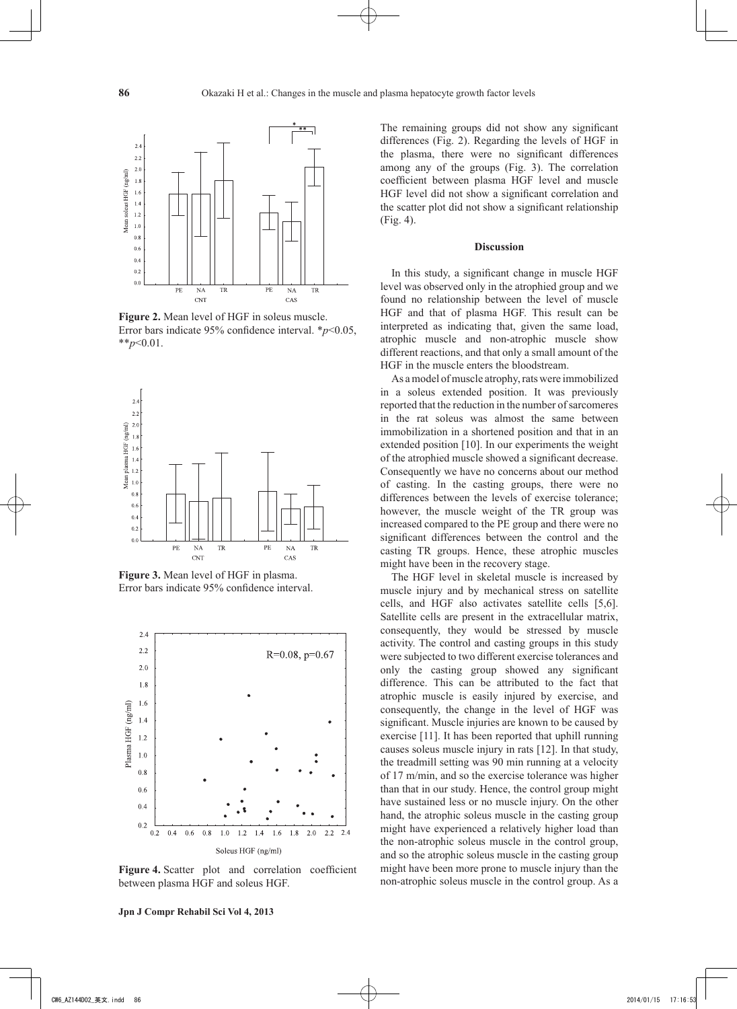

**Figure 2.** Mean level of HGF in soleus muscle. Error bars indicate 95% confidence interval. \**p*<0.05, \*\**p*<0.01.



**Figure 3.** Mean level of HGF in plasma. Error bars indicate 95% confidence interval.



Figure 4. Scatter plot and correlation coefficient between plasma HGF and soleus HGF.

The remaining groups did not show any significant differences (Fig. 2). Regarding the levels of HGF in the plasma, there were no significant differences among any of the groups (Fig. 3). The correlation coefficient between plasma HGF level and muscle HGF level did not show a significant correlation and the scatter plot did not show a significant relationship (Fig. 4).

#### **Discussion**

In this study, a significant change in muscle HGF level was observed only in the atrophied group and we found no relationship between the level of muscle HGF and that of plasma HGF. This result can be interpreted as indicating that, given the same load, atrophic muscle and non-atrophic muscle show different reactions, and that only a small amount of the HGF in the muscle enters the bloodstream.

As a model of muscle atrophy, rats were immobilized in a soleus extended position. It was previously reported that the reduction in the number of sarcomeres in the rat soleus was almost the same between immobilization in a shortened position and that in an extended position [10]. In our experiments the weight of the atrophied muscle showed a significant decrease. Consequently we have no concerns about our method of casting. In the casting groups, there were no differences between the levels of exercise tolerance; however, the muscle weight of the TR group was increased compared to the PE group and there were no significant differences between the control and the casting TR groups. Hence, these atrophic muscles might have been in the recovery stage.

The HGF level in skeletal muscle is increased by muscle injury and by mechanical stress on satellite cells, and HGF also activates satellite cells [5,6]. Satellite cells are present in the extracellular matrix, consequently, they would be stressed by muscle activity. The control and casting groups in this study were subjected to two different exercise tolerances and only the casting group showed any significant difference. This can be attributed to the fact that atrophic muscle is easily injured by exercise, and consequently, the change in the level of HGF was significant. Muscle injuries are known to be caused by exercise [11]. It has been reported that uphill running causes soleus muscle injury in rats [12]. In that study, the treadmill setting was 90 min running at a velocity of 17 m/min, and so the exercise tolerance was higher than that in our study. Hence, the control group might have sustained less or no muscle injury. On the other hand, the atrophic soleus muscle in the casting group might have experienced a relatively higher load than the non-atrophic soleus muscle in the control group, and so the atrophic soleus muscle in the casting group might have been more prone to muscle injury than the non-atrophic soleus muscle in the control group. As a